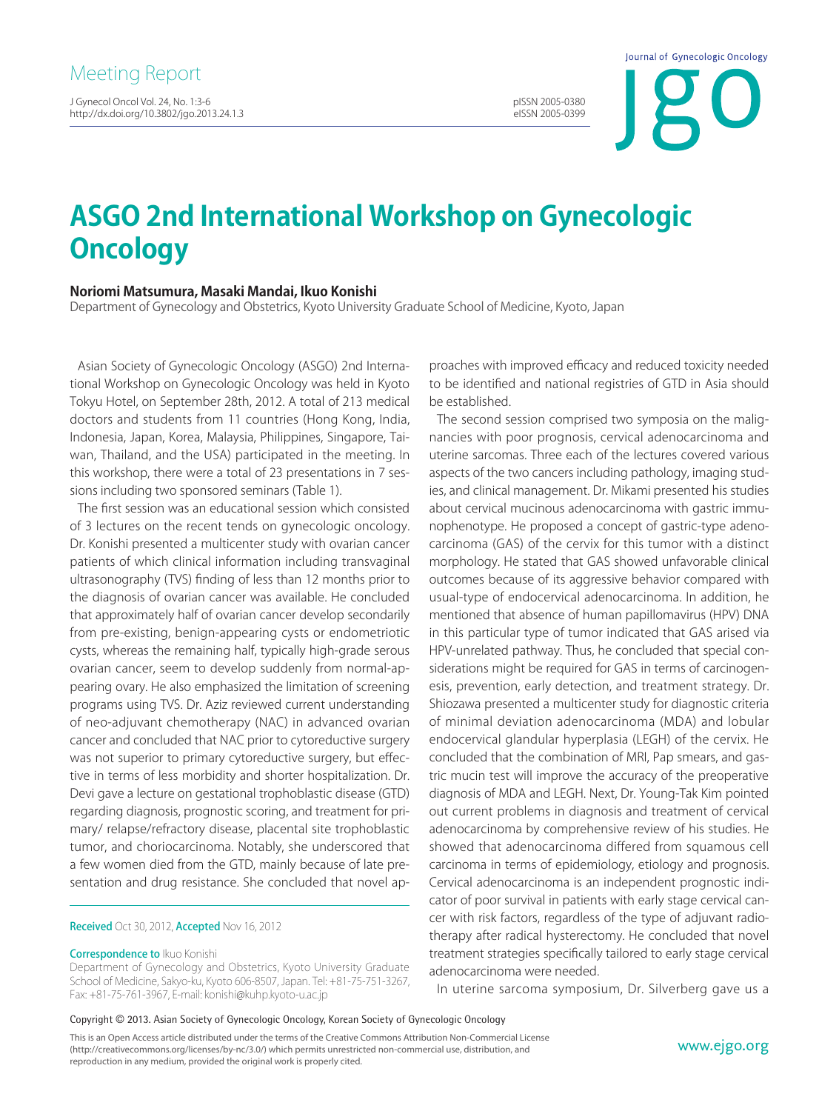J Gynecol Oncol Vol. 24, No. 1:3-6 http://dx.doi.org/10.3802/jgo.2013.24.1.3 **Journal of Gynecologic Oncology** 

pISSN 2005-0380 eISSN 2005-0399

# **ASGO 2nd International Workshop on Gynecologic Oncology**

## **Noriomi Matsumura, Masaki Mandai, Ikuo Konishi**

Department of Gynecology and Obstetrics, Kyoto University Graduate School of Medicine, Kyoto, Japan

Asian Society of Gynecologic Oncology (ASGO) 2nd International Workshop on Gynecologic Oncology was held in Kyoto Tokyu Hotel, on September 28th, 2012. A total of 213 medical doctors and students from 11 countries (Hong Kong, India, Indonesia, Japan, Korea, Malaysia, Philippines, Singapore, Taiwan, Thailand, and the USA) participated in the meeting. In this workshop, there were a total of 23 presentations in 7 sessions including two sponsored seminars (Table 1).

The first session was an educational session which consisted of 3 lectures on the recent tends on gynecologic oncology. Dr. Konishi presented a multicenter study with ovarian cancer patients of which clinical information including transvaginal ultrasonography (TVS) finding of less than 12 months prior to the diagnosis of ovarian cancer was available. He concluded that approximately half of ovarian cancer develop secondarily from pre-existing, benign-appearing cysts or endometriotic cysts, whereas the remaining half, typically high-grade serous ovarian cancer, seem to develop suddenly from normal-appearing ovary. He also emphasized the limitation of screening programs using TVS. Dr. Aziz reviewed current understanding of neo-adjuvant chemotherapy (NAC) in advanced ovarian cancer and concluded that NAC prior to cytoreductive surgery was not superior to primary cytoreductive surgery, but effective in terms of less morbidity and shorter hospitalization. Dr. Devi gave a lecture on gestational trophoblastic disease (GTD) regarding diagnosis, prognostic scoring, and treatment for primary/ relapse/refractory disease, placental site trophoblastic tumor, and choriocarcinoma. Notably, she underscored that a few women died from the GTD, mainly because of late presentation and drug resistance. She concluded that novel ap-

Received Oct 30, 2012, Accepted Nov 16, 2012

#### **Correspondence to Ikuo Konishi**

Department of Gynecology and Obstetrics, Kyoto University Graduate School of Medicine, Sakyo-ku, Kyoto 606-8507, Japan. Tel: +81-75-751-3267, Fax: +81-75-761-3967, E-mail: konishi@kuhp.kyoto-u.ac.jp

proaches with improved efficacy and reduced toxicity needed to be identified and national registries of GTD in Asia should be established.

The second session comprised two symposia on the malignancies with poor prognosis, cervical adenocarcinoma and uterine sarcomas. Three each of the lectures covered various aspects of the two cancers including pathology, imaging studies, and clinical management. Dr. Mikami presented his studies about cervical mucinous adenocarcinoma with gastric immunophenotype. He proposed a concept of gastric-type adenocarcinoma (GAS) of the cervix for this tumor with a distinct morphology. He stated that GAS showed unfavorable clinical outcomes because of its aggressive behavior compared with usual-type of endocervical adenocarcinoma. In addition, he mentioned that absence of human papillomavirus (HPV) DNA in this particular type of tumor indicated that GAS arised via HPV-unrelated pathway. Thus, he concluded that special considerations might be required for GAS in terms of carcinogenesis, prevention, early detection, and treatment strategy. Dr. Shiozawa presented a multicenter study for diagnostic criteria of minimal deviation adenocarcinoma (MDA) and lobular endocervical glandular hyperplasia (LEGH) of the cervix. He concluded that the combination of MRI, Pap smears, and gastric mucin test will improve the accuracy of the preoperative diagnosis of MDA and LEGH. Next, Dr. Young-Tak Kim pointed out current problems in diagnosis and treatment of cervical adenocarcinoma by comprehensive review of his studies. He showed that adenocarcinoma differed from squamous cell carcinoma in terms of epidemiology, etiology and prognosis. Cervical adenocarcinoma is an independent prognostic indicator of poor survival in patients with early stage cervical cancer with risk factors, regardless of the type of adjuvant radiotherapy after radical hysterectomy. He concluded that novel treatment strategies specifically tailored to early stage cervical adenocarcinoma were needed.

In uterine sarcoma symposium, Dr. Silverberg gave us a

#### Copyright © 2013. Asian Society of Gynecologic Oncology, Korean Society of Gynecologic Oncology

This is an Open Access article distributed under the terms of the Creative Commons Attribution Non-Commercial License (http://creativecommons.org/licenses/by-nc/3.0/) which permits unrestricted non-commercial use, distribution, and reproduction in any medium, provided the original work is properly cited.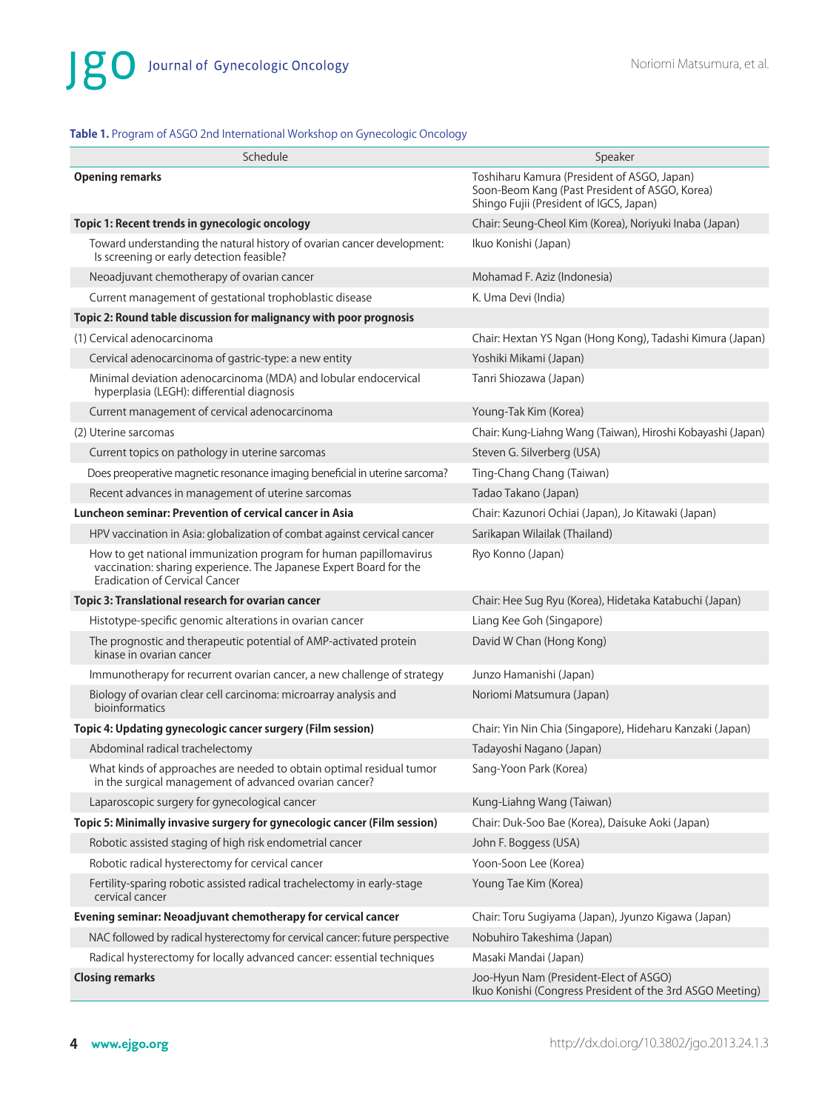# **Table 1.** Program of ASGO 2nd International Workshop on Gynecologic Oncology

| Schedule                                                                                                                                                                         | Speaker                                                                                                                                  |
|----------------------------------------------------------------------------------------------------------------------------------------------------------------------------------|------------------------------------------------------------------------------------------------------------------------------------------|
| <b>Opening remarks</b>                                                                                                                                                           | Toshiharu Kamura (President of ASGO, Japan)<br>Soon-Beom Kang (Past President of ASGO, Korea)<br>Shingo Fujii (President of IGCS, Japan) |
| Topic 1: Recent trends in gynecologic oncology                                                                                                                                   | Chair: Seung-Cheol Kim (Korea), Noriyuki Inaba (Japan)                                                                                   |
| Toward understanding the natural history of ovarian cancer development:<br>Is screening or early detection feasible?                                                             | Ikuo Konishi (Japan)                                                                                                                     |
| Neoadjuvant chemotherapy of ovarian cancer                                                                                                                                       | Mohamad F. Aziz (Indonesia)                                                                                                              |
| Current management of gestational trophoblastic disease                                                                                                                          | K. Uma Devi (India)                                                                                                                      |
| Topic 2: Round table discussion for malignancy with poor prognosis                                                                                                               |                                                                                                                                          |
| (1) Cervical adenocarcinoma                                                                                                                                                      | Chair: Hextan YS Ngan (Hong Kong), Tadashi Kimura (Japan)                                                                                |
| Cervical adenocarcinoma of gastric-type: a new entity                                                                                                                            | Yoshiki Mikami (Japan)                                                                                                                   |
| Minimal deviation adenocarcinoma (MDA) and lobular endocervical<br>hyperplasia (LEGH): differential diagnosis                                                                    | Tanri Shiozawa (Japan)                                                                                                                   |
| Current management of cervical adenocarcinoma                                                                                                                                    | Young-Tak Kim (Korea)                                                                                                                    |
| (2) Uterine sarcomas                                                                                                                                                             | Chair: Kung-Liahng Wang (Taiwan), Hiroshi Kobayashi (Japan)                                                                              |
| Current topics on pathology in uterine sarcomas                                                                                                                                  | Steven G. Silverberg (USA)                                                                                                               |
| Does preoperative magnetic resonance imaging beneficial in uterine sarcoma?                                                                                                      | Ting-Chang Chang (Taiwan)                                                                                                                |
| Recent advances in management of uterine sarcomas                                                                                                                                | Tadao Takano (Japan)                                                                                                                     |
| Luncheon seminar: Prevention of cervical cancer in Asia                                                                                                                          | Chair: Kazunori Ochiai (Japan), Jo Kitawaki (Japan)                                                                                      |
| HPV vaccination in Asia: globalization of combat against cervical cancer                                                                                                         | Sarikapan Wilailak (Thailand)                                                                                                            |
| How to get national immunization program for human papillomavirus<br>vaccination: sharing experience. The Japanese Expert Board for the<br><b>Eradication of Cervical Cancer</b> | Ryo Konno (Japan)                                                                                                                        |
| Topic 3: Translational research for ovarian cancer                                                                                                                               | Chair: Hee Sug Ryu (Korea), Hidetaka Katabuchi (Japan)                                                                                   |
| Histotype-specific genomic alterations in ovarian cancer                                                                                                                         | Liang Kee Goh (Singapore)                                                                                                                |
| The prognostic and therapeutic potential of AMP-activated protein<br>kinase in ovarian cancer                                                                                    | David W Chan (Hong Kong)                                                                                                                 |
| Immunotherapy for recurrent ovarian cancer, a new challenge of strategy                                                                                                          | Junzo Hamanishi (Japan)                                                                                                                  |
| Biology of ovarian clear cell carcinoma: microarray analysis and<br>bioinformatics                                                                                               | Noriomi Matsumura (Japan)                                                                                                                |
| Topic 4: Updating gynecologic cancer surgery (Film session)                                                                                                                      | Chair: Yin Nin Chia (Singapore), Hideharu Kanzaki (Japan)                                                                                |
| Abdominal radical trachelectomy                                                                                                                                                  | Tadayoshi Nagano (Japan)                                                                                                                 |
| What kinds of approaches are needed to obtain optimal residual tumor<br>in the surgical management of advanced ovarian cancer?                                                   | Sang-Yoon Park (Korea)                                                                                                                   |
| Laparoscopic surgery for gynecological cancer                                                                                                                                    | Kung-Liahng Wang (Taiwan)                                                                                                                |
| Topic 5: Minimally invasive surgery for gynecologic cancer (Film session)                                                                                                        | Chair: Duk-Soo Bae (Korea), Daisuke Aoki (Japan)                                                                                         |
| Robotic assisted staging of high risk endometrial cancer                                                                                                                         | John F. Boggess (USA)                                                                                                                    |
| Robotic radical hysterectomy for cervical cancer                                                                                                                                 | Yoon-Soon Lee (Korea)                                                                                                                    |
| Fertility-sparing robotic assisted radical trachelectomy in early-stage<br>cervical cancer                                                                                       | Young Tae Kim (Korea)                                                                                                                    |
| Evening seminar: Neoadjuvant chemotherapy for cervical cancer                                                                                                                    | Chair: Toru Sugiyama (Japan), Jyunzo Kigawa (Japan)                                                                                      |
| NAC followed by radical hysterectomy for cervical cancer: future perspective                                                                                                     | Nobuhiro Takeshima (Japan)                                                                                                               |
| Radical hysterectomy for locally advanced cancer: essential techniques                                                                                                           | Masaki Mandai (Japan)                                                                                                                    |
| <b>Closing remarks</b>                                                                                                                                                           | Joo-Hyun Nam (President-Elect of ASGO)<br>Ikuo Konishi (Congress President of the 3rd ASGO Meeting)                                      |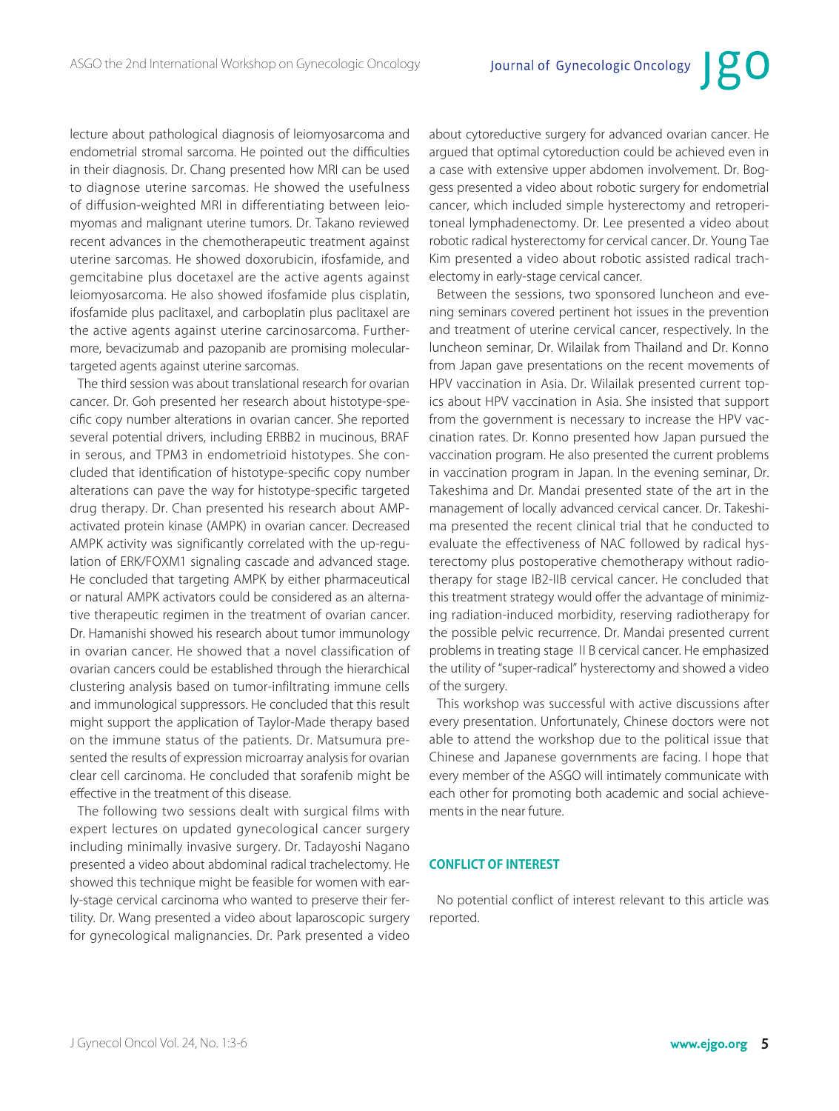lecture about pathological diagnosis of leiomyosarcoma and endometrial stromal sarcoma. He pointed out the difficulties in their diagnosis. Dr. Chang presented how MRI can be used to diagnose uterine sarcomas. He showed the usefulness of diffusion-weighted MRI in differentiating between leiomyomas and malignant uterine tumors. Dr. Takano reviewed recent advances in the chemotherapeutic treatment against uterine sarcomas. He showed doxorubicin, ifosfamide, and gemcitabine plus docetaxel are the active agents against leiomyosarcoma. He also showed ifosfamide plus cisplatin, ifosfamide plus paclitaxel, and carboplatin plus paclitaxel are the active agents against uterine carcinosarcoma. Furthermore, bevacizumab and pazopanib are promising moleculartargeted agents against uterine sarcomas.

The third session was about translational research for ovarian cancer. Dr. Goh presented her research about histotype-specific copy number alterations in ovarian cancer. She reported several potential drivers, including ERBB2 in mucinous, BRAF in serous, and TPM3 in endometrioid histotypes. She concluded that identification of histotype-specific copy number alterations can pave the way for histotype-specific targeted drug therapy. Dr. Chan presented his research about AMPactivated protein kinase (AMPK) in ovarian cancer. Decreased AMPK activity was significantly correlated with the up-regulation of ERK/FOXM1 signaling cascade and advanced stage. He concluded that targeting AMPK by either pharmaceutical or natural AMPK activators could be considered as an alternative therapeutic regimen in the treatment of ovarian cancer. Dr. Hamanishi showed his research about tumor immunology in ovarian cancer. He showed that a novel classification of ovarian cancers could be established through the hierarchical clustering analysis based on tumor-infiltrating immune cells and immunological suppressors. He concluded that this result might support the application of Taylor-Made therapy based on the immune status of the patients. Dr. Matsumura presented the results of expression microarray analysis for ovarian clear cell carcinoma. He concluded that sorafenib might be effective in the treatment of this disease.

The following two sessions dealt with surgical films with expert lectures on updated gynecological cancer surgery including minimally invasive surgery. Dr. Tadayoshi Nagano presented a video about abdominal radical trachelectomy. He showed this technique might be feasible for women with early-stage cervical carcinoma who wanted to preserve their fertility. Dr. Wang presented a video about laparoscopic surgery for gynecological malignancies. Dr. Park presented a video about cytoreductive surgery for advanced ovarian cancer. He argued that optimal cytoreduction could be achieved even in a case with extensive upper abdomen involvement. Dr. Boggess presented a video about robotic surgery for endometrial cancer, which included simple hysterectomy and retroperitoneal lymphadenectomy. Dr. Lee presented a video about robotic radical hysterectomy for cervical cancer. Dr. Young Tae Kim presented a video about robotic assisted radical trachelectomy in early-stage cervical cancer.

Between the sessions, two sponsored luncheon and evening seminars covered pertinent hot issues in the prevention and treatment of uterine cervical cancer, respectively. In the luncheon seminar, Dr. Wilailak from Thailand and Dr. Konno from Japan gave presentations on the recent movements of HPV vaccination in Asia. Dr. Wilailak presented current topics about HPV vaccination in Asia. She insisted that support from the government is necessary to increase the HPV vaccination rates. Dr. Konno presented how Japan pursued the vaccination program. He also presented the current problems in vaccination program in Japan. In the evening seminar, Dr. Takeshima and Dr. Mandai presented state of the art in the management of locally advanced cervical cancer. Dr. Takeshima presented the recent clinical trial that he conducted to evaluate the effectiveness of NAC followed by radical hysterectomy plus postoperative chemotherapy without radiotherapy for stage IB2-IIB cervical cancer. He concluded that this treatment strategy would offer the advantage of minimizing radiation-induced morbidity, reserving radiotherapy for the possible pelvic recurrence. Dr. Mandai presented current problems in treating stage ⅡB cervical cancer. He emphasized the utility of "super-radical" hysterectomy and showed a video of the surgery.

This workshop was successful with active discussions after every presentation. Unfortunately, Chinese doctors were not able to attend the workshop due to the political issue that Chinese and Japanese governments are facing. I hope that every member of the ASGO will intimately communicate with each other for promoting both academic and social achievements in the near future.

## **CONFLICT OF INTEREST**

No potential conflict of interest relevant to this article was reported.